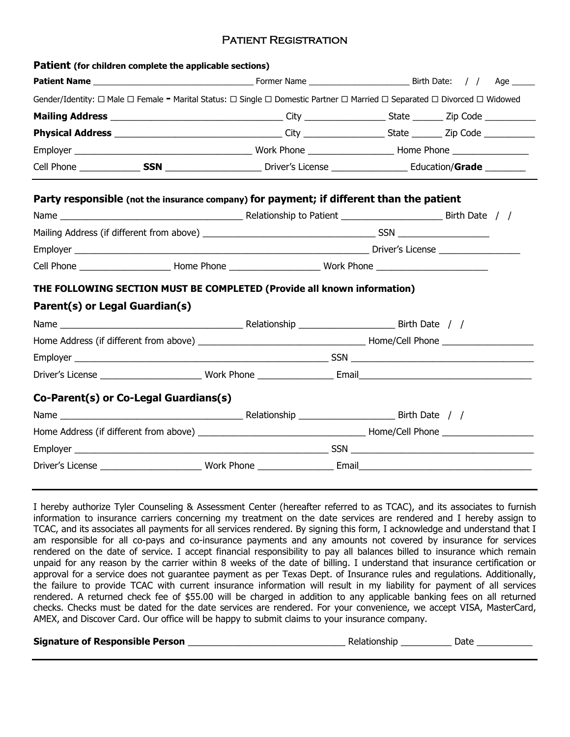## Patient Registration

| Patient (for children complete the applicable sections)                                                                   |  |  |  |
|---------------------------------------------------------------------------------------------------------------------------|--|--|--|
|                                                                                                                           |  |  |  |
| Gender/Identity: □ Male □ Female = Marital Status: □ Single □ Domestic Partner □ Married □ Separated □ Divorced □ Widowed |  |  |  |
|                                                                                                                           |  |  |  |
|                                                                                                                           |  |  |  |
|                                                                                                                           |  |  |  |
|                                                                                                                           |  |  |  |
| Party responsible (not the insurance company) for payment; if different than the patient                                  |  |  |  |
|                                                                                                                           |  |  |  |
|                                                                                                                           |  |  |  |
|                                                                                                                           |  |  |  |
|                                                                                                                           |  |  |  |
| THE FOLLOWING SECTION MUST BE COMPLETED (Provide all known information)                                                   |  |  |  |
| Parent(s) or Legal Guardian(s)                                                                                            |  |  |  |
|                                                                                                                           |  |  |  |
|                                                                                                                           |  |  |  |
|                                                                                                                           |  |  |  |
|                                                                                                                           |  |  |  |
|                                                                                                                           |  |  |  |
| Co-Parent(s) or Co-Legal Guardians(s)                                                                                     |  |  |  |
|                                                                                                                           |  |  |  |
|                                                                                                                           |  |  |  |
|                                                                                                                           |  |  |  |

I hereby authorize Tyler Counseling & Assessment Center (hereafter referred to as TCAC), and its associates to furnish information to insurance carriers concerning my treatment on the date services are rendered and I hereby assign to TCAC, and its associates all payments for all services rendered. By signing this form, I acknowledge and understand that I am responsible for all co-pays and co-insurance payments and any amounts not covered by insurance for services rendered on the date of service. I accept financial responsibility to pay all balances billed to insurance which remain unpaid for any reason by the carrier within 8 weeks of the date of billing. I understand that insurance certification or approval for a service does not guarantee payment as per Texas Dept. of Insurance rules and regulations. Additionally, the failure to provide TCAC with current insurance information will result in my liability for payment of all services rendered. A returned check fee of \$55.00 will be charged in addition to any applicable banking fees on all returned checks. Checks must be dated for the date services are rendered. For your convenience, we accept VISA, MasterCard, AMEX, and Discover Card. Our office will be happy to submit claims to your insurance company.

**Signature of Responsible Person Example 20 and 20 and 20 and 20 and 20 and 20 and 20 and 20 and 20 and 20 and 20 and 20 and 20 and 20 and 20 and 20 and 20 and 20 and 20 and 20 and 20 and 20 and 20 and 20 and 20 and 20 a** 

| elationship<br>Date |  |
|---------------------|--|
|---------------------|--|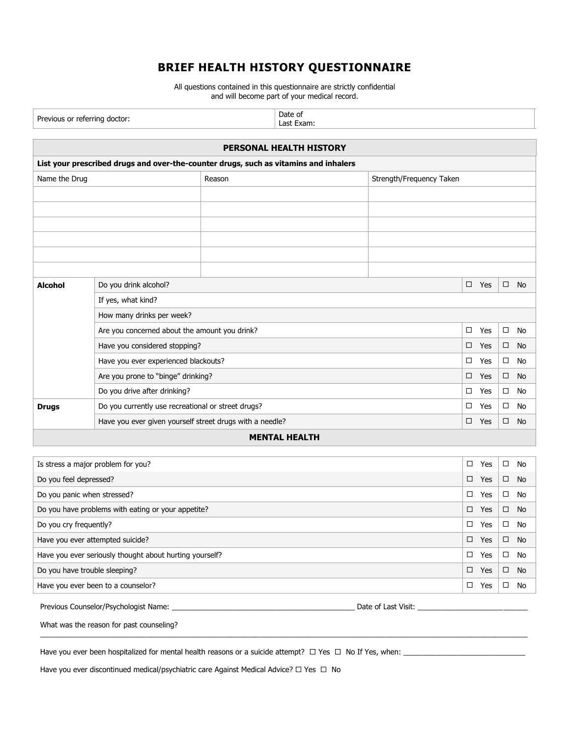# **BRIEF HEALTH HISTORY QUESTIONNAIRE**

All questions contained in this questionnaire are strictly confidential and will become part of your medical record.

| Previous or referring doctor:                                      |                                                                                      | Date of<br>Last Exam: |                      |                          |        |        |           |           |
|--------------------------------------------------------------------|--------------------------------------------------------------------------------------|-----------------------|----------------------|--------------------------|--------|--------|-----------|-----------|
|                                                                    |                                                                                      |                       |                      |                          |        |        |           |           |
|                                                                    | PERSONAL HEALTH HISTORY                                                              |                       |                      |                          |        |        |           |           |
|                                                                    | List your prescribed drugs and over-the-counter drugs, such as vitamins and inhalers |                       |                      |                          |        |        |           |           |
| Name the Drug                                                      |                                                                                      | Reason                |                      | Strength/Frequency Taken |        |        |           |           |
|                                                                    |                                                                                      |                       |                      |                          |        |        |           |           |
|                                                                    |                                                                                      |                       |                      |                          |        |        |           |           |
|                                                                    |                                                                                      |                       |                      |                          |        |        |           |           |
|                                                                    |                                                                                      |                       |                      |                          |        |        |           |           |
|                                                                    |                                                                                      |                       |                      |                          |        |        |           |           |
|                                                                    |                                                                                      |                       |                      |                          |        |        |           |           |
| <b>Alcohol</b>                                                     | Do you drink alcohol?                                                                |                       |                      |                          | $\Box$ | Yes    | $\Box$    | <b>No</b> |
|                                                                    | If yes, what kind?                                                                   |                       |                      |                          |        |        |           |           |
|                                                                    | How many drinks per week?                                                            |                       |                      |                          |        |        |           |           |
| Are you concerned about the amount you drink?                      |                                                                                      |                       |                      |                          | $\Box$ | Yes    | $\Box$    | No        |
| Have you considered stopping?                                      |                                                                                      |                       |                      |                          | $\Box$ | Yes    | $\Box$    | <b>No</b> |
| Have you ever experienced blackouts?                               |                                                                                      |                       |                      |                          | □      | Yes    | $\Box$    | No        |
| Are you prone to "binge" drinking?                                 |                                                                                      |                       |                      |                          | $\Box$ | Yes    | $\Box$    | <b>No</b> |
|                                                                    | Do you drive after drinking?                                                         |                       |                      |                          | $\Box$ | Yes    | $\Box$    | No        |
| Do you currently use recreational or street drugs?<br><b>Drugs</b> |                                                                                      |                       |                      |                          | $\Box$ | Yes    | $\Box$    | No        |
|                                                                    | Have you ever given yourself street drugs with a needle?                             |                       |                      | $\Box$                   | Yes    | $\Box$ | <b>No</b> |           |
|                                                                    |                                                                                      |                       | <b>MENTAL HEALTH</b> |                          |        |        |           |           |

## **MENTAL HEALTH**

| Is stress a major problem for you?                      |        | Yes | □      | No        |
|---------------------------------------------------------|--------|-----|--------|-----------|
| Do you feel depressed?                                  | $\Box$ | Yes | □      | <b>No</b> |
| Do you panic when stressed?                             | □      | Yes | □      | No        |
| Do you have problems with eating or your appetite?      | $\Box$ | Yes | □      | <b>No</b> |
| Do you cry frequently?                                  |        | Yes | □      | No        |
| Have you ever attempted suicide?                        |        | Yes | $\Box$ | No        |
| Have you ever seriously thought about hurting yourself? |        | Yes | □      | No        |
| Do you have trouble sleeping?                           |        | Yes | □      | <b>No</b> |
| Have you ever been to a counselor?                      | □      | Yes | □      | No        |

\_\_\_\_\_\_\_\_\_\_\_\_\_\_\_\_\_\_\_\_\_\_\_\_\_\_\_\_\_\_\_\_\_\_\_\_\_\_\_\_\_\_\_\_\_\_\_\_\_\_\_\_\_\_\_\_\_\_\_\_\_\_\_\_\_\_\_\_\_\_\_\_\_\_\_\_\_\_\_\_\_\_\_\_\_\_\_\_\_\_\_\_\_\_\_\_\_\_\_\_\_\_\_\_\_\_\_\_\_\_\_\_\_\_\_\_\_\_\_\_

Previous Counselor/Psychologist Name: \_\_\_\_\_\_\_\_\_\_\_\_\_\_\_\_\_\_\_\_\_\_\_\_\_\_\_\_\_\_\_\_\_\_\_\_\_\_\_\_\_\_\_\_\_ Date of Last Visit: \_\_\_\_\_\_\_\_\_\_\_\_\_\_\_\_\_\_\_\_\_\_\_\_\_\_\_

What was the reason for past counseling?

Have you ever been hospitalized for mental health reasons or a suicide attempt? Yes No If Yes, when: \_\_\_\_\_\_\_\_\_\_\_\_\_\_\_\_\_\_\_\_\_\_\_\_\_\_\_\_\_\_

Have you ever discontinued medical/psychiatric care Against Medical Advice?  $\Box$  Yes  $\Box$  No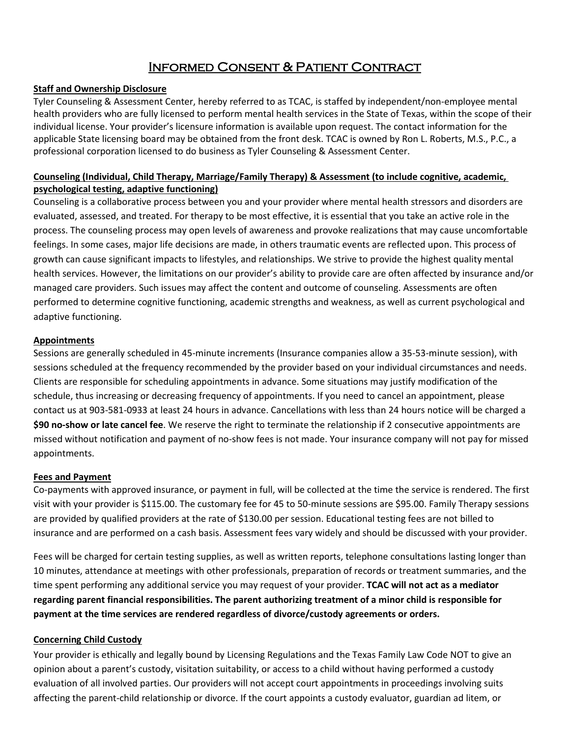# Informed Consent & Patient Contract

### **Staff and Ownership Disclosure**

Tyler Counseling & Assessment Center, hereby referred to as TCAC, is staffed by independent/non-employee mental health providers who are fully licensed to perform mental health services in the State of Texas, within the scope of their individual license. Your provider's licensure information is available upon request. The contact information for the applicable State licensing board may be obtained from the front desk. TCAC is owned by Ron L. Roberts, M.S., P.C., a professional corporation licensed to do business as Tyler Counseling & Assessment Center.

## **Counseling (Individual, Child Therapy, Marriage/Family Therapy) & Assessment (to include cognitive, academic, psychological testing, adaptive functioning)**

Counseling is a collaborative process between you and your provider where mental health stressors and disorders are evaluated, assessed, and treated. For therapy to be most effective, it is essential that you take an active role in the process. The counseling process may open levels of awareness and provoke realizations that may cause uncomfortable feelings. In some cases, major life decisions are made, in others traumatic events are reflected upon. This process of growth can cause significant impacts to lifestyles, and relationships. We strive to provide the highest quality mental health services. However, the limitations on our provider's ability to provide care are often affected by insurance and/or managed care providers. Such issues may affect the content and outcome of counseling. Assessments are often performed to determine cognitive functioning, academic strengths and weakness, as well as current psychological and adaptive functioning.

### **Appointments**

Sessions are generally scheduled in 45-minute increments (Insurance companies allow a 35-53-minute session), with sessions scheduled at the frequency recommended by the provider based on your individual circumstances and needs. Clients are responsible for scheduling appointments in advance. Some situations may justify modification of the schedule, thus increasing or decreasing frequency of appointments. If you need to cancel an appointment, please contact us at 903-581-0933 at least 24 hours in advance. Cancellations with less than 24 hours notice will be charged a **\$90 no-show or late cancel fee**. We reserve the right to terminate the relationship if 2 consecutive appointments are missed without notification and payment of no-show fees is not made. Your insurance company will not pay for missed appointments.

### **Fees and Payment**

Co-payments with approved insurance, or payment in full, will be collected at the time the service is rendered. The first visit with your provider is \$115.00. The customary fee for 45 to 50-minute sessions are \$95.00. Family Therapy sessions are provided by qualified providers at the rate of \$130.00 per session. Educational testing fees are not billed to insurance and are performed on a cash basis. Assessment fees vary widely and should be discussed with your provider.

Fees will be charged for certain testing supplies, as well as written reports, telephone consultations lasting longer than 10 minutes, attendance at meetings with other professionals, preparation of records or treatment summaries, and the time spent performing any additional service you may request of your provider. **TCAC will not act as a mediator regarding parent financial responsibilities. The parent authorizing treatment of a minor child is responsible for payment at the time services are rendered regardless of divorce/custody agreements or orders.**

## **Concerning Child Custody**

Your provider is ethically and legally bound by Licensing Regulations and the Texas Family Law Code NOT to give an opinion about a parent's custody, visitation suitability, or access to a child without having performed a custody evaluation of all involved parties. Our providers will not accept court appointments in proceedings involving suits affecting the parent-child relationship or divorce. If the court appoints a custody evaluator, guardian ad litem, or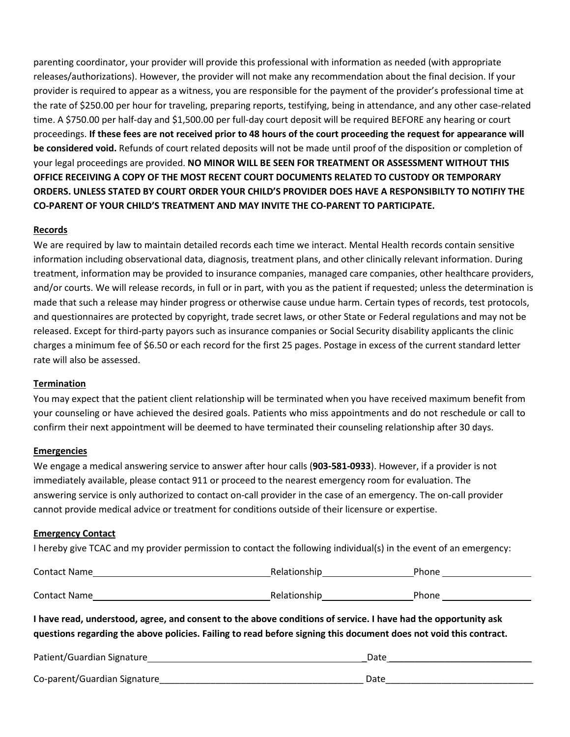parenting coordinator, your provider will provide this professional with information as needed (with appropriate releases/authorizations). However, the provider will not make any recommendation about the final decision. If your provider is required to appear as a witness, you are responsible for the payment of the provider's professional time at the rate of \$250.00 per hour for traveling, preparing reports, testifying, being in attendance, and any other case-related time. A \$750.00 per half-day and \$1,500.00 per full-day court deposit will be required BEFORE any hearing or court proceedings. **If these fees are not received prior to 48 hours of the court proceeding the request for appearance will be considered void.** Refunds of court related deposits will not be made until proof of the disposition or completion of your legal proceedings are provided. **NO MINOR WILL BE SEEN FOR TREATMENT OR ASSESSMENT WITHOUT THIS OFFICE RECEIVING A COPY OF THE MOST RECENT COURT DOCUMENTS RELATED TO CUSTODY OR TEMPORARY ORDERS. UNLESS STATED BY COURT ORDER YOUR CHILD'S PROVIDER DOES HAVE A RESPONSIBILTY TO NOTIFIY THE CO-PARENT OF YOUR CHILD'S TREATMENT AND MAY INVITE THE CO-PARENT TO PARTICIPATE.**

### **Records**

We are required by law to maintain detailed records each time we interact. Mental Health records contain sensitive information including observational data, diagnosis, treatment plans, and other clinically relevant information. During treatment, information may be provided to insurance companies, managed care companies, other healthcare providers, and/or courts. We will release records, in full or in part, with you as the patient if requested; unless the determination is made that such a release may hinder progress or otherwise cause undue harm. Certain types of records, test protocols, and questionnaires are protected by copyright, trade secret laws, or other State or Federal regulations and may not be released. Except for third-party payors such as insurance companies or Social Security disability applicants the clinic charges a minimum fee of \$6.50 or each record for the first 25 pages. Postage in excess of the current standard letter rate will also be assessed.

### **Termination**

You may expect that the patient client relationship will be terminated when you have received maximum benefit from your counseling or have achieved the desired goals. Patients who miss appointments and do not reschedule or call to confirm their next appointment will be deemed to have terminated their counseling relationship after 30 days.

### **Emergencies**

We engage a medical answering service to answer after hour calls (**903-581-0933**). However, if a provider is not immediately available, please contact 911 or proceed to the nearest emergency room for evaluation. The answering service is only authorized to contact on-call provider in the case of an emergency. The on-call provider cannot provide medical advice or treatment for conditions outside of their licensure or expertise.

### **Emergency Contact**

I hereby give TCAC and my provider permission to contact the following individual(s) in the event of an emergency:

| Contact Name | Relationship | Phone |
|--------------|--------------|-------|
| Contact Name | Relationship | Phone |

**I have read, understood, agree, and consent to the above conditions of service. I have had the opportunity ask questions regarding the above policies. Failing to read before signing this document does not void this contract.**

| Patient/Guardian Signature   | Date |
|------------------------------|------|
| Co-parent/Guardian Signature | Date |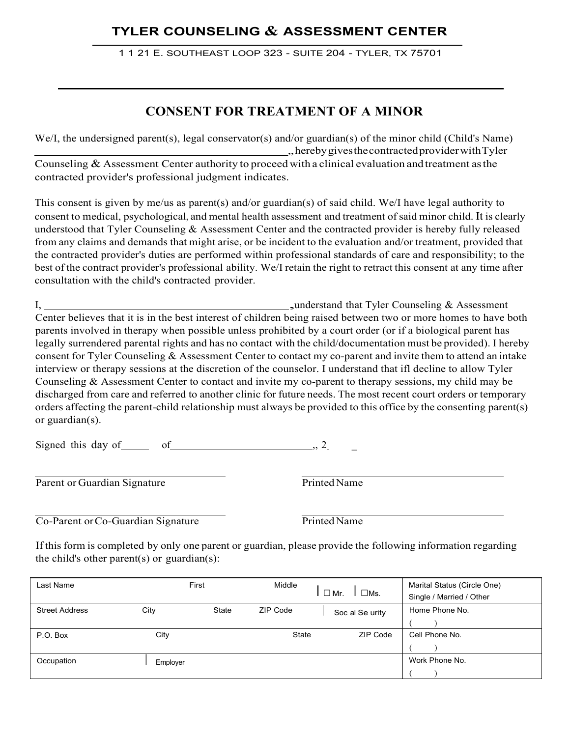# **TYLER COUNSELING & ASSESSMENT CENTER**

1 1 21 E. SOUTHEAST LOOP 323 - SUITE 204 - TYLER, TX 75701

# **CONSENT FOR TREATMENT OF A MINOR**

We/I, the undersigned parent(s), legal conservator(s) and/or guardian(s) of the minor child (Child's Name) ,,hereby gives the contracted provider with Tyler Counseling  $&$  Assessment Center authority to proceed with a clinical evaluation and treatment as the contracted provider's professional judgment indicates.

This consent is given by me/us as parent(s) and/or guardian(s) of said child. We/I have legal authority to consent to medical, psychological, and mental health assessment and treatment ofsaid minor child. It is clearly understood that Tyler Counseling & Assessment Center and the contracted provider is hereby fully released from any claims and demands that might arise, or be incident to the evaluation and/or treatment, provided that the contracted provider's duties are performed within professional standards of care and responsibility; to the best of the contract provider's professional ability. We/I retain the right to retract this consent at any time after consultation with the child's contracted provider.

I, ,understand that Tyler Counseling & Assessment Center believes that it is in the best interest of children being raised between two or more homes to have both parents involved in therapy when possible unless prohibited by a court order (or if a biological parent has legally surrendered parental rights and has no contact with the child/documentation must be provided). I hereby consent for Tyler Counseling & Assessment Center to contact my co-parent and invite them to attend an intake interview or therapy sessions at the discretion of the counselor. I understand that ifl decline to allow Tyler Counseling & Assessment Center to contact and invite my co-parent to therapy sessions, my child may be discharged from care and referred to another clinic for future needs. The most recent court orders or temporary orders affecting the parent-child relationship must always be provided to this office by the consenting parent(s) or guardian(s).

Signed this day of  $\qquad \qquad$  of  $\qquad \qquad$ , 2

| Parent or Guardian Signature |
|------------------------------|
|                              |

Printed Name

Co-Parent or Co-Guardian Signature Printed Name

If this form is completed by only one parent or guardian, please provide the following information regarding the child's other parent(s) or guardian(s):

| Last Name             | First    |              | Middle   |                             | Marital Status (Circle One) |
|-----------------------|----------|--------------|----------|-----------------------------|-----------------------------|
|                       |          |              |          | $\square$ Ms.<br>$\Box$ Mr. | Single / Married / Other    |
| <b>Street Address</b> | City     | <b>State</b> | ZIP Code | Soc al Se urity             | Home Phone No.              |
|                       |          |              |          |                             |                             |
| P.O. Box              | City     |              | State    | <b>ZIP Code</b>             | Cell Phone No.              |
|                       |          |              |          |                             |                             |
| Occupation            | Employer |              |          |                             | Work Phone No.              |
|                       |          |              |          |                             |                             |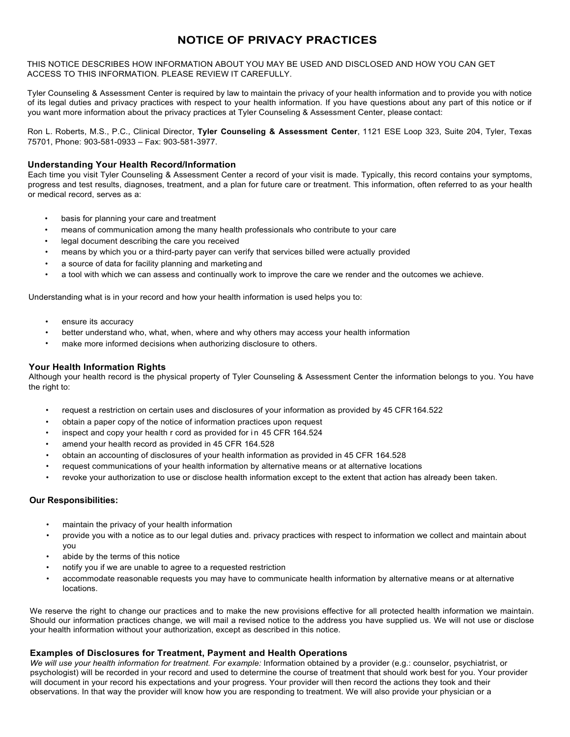## **NOTICE OF PRIVACY PRACTICES**

THIS NOTICE DESCRIBES HOW INFORMATION ABOUT YOU MAY BE USED AND DISCLOSED AND HOW YOU CAN GET ACCESS TO THIS INFORMATION. PLEASE REVIEW IT CAREFULLY.

Tyler Counseling & Assessment Center is required by law to maintain the privacy of your health information and to provide you with notice of its legal duties and privacy practices with respect to your health information. If you have questions about any part of this notice or if you want more information about the privacy practices at Tyler Counseling & Assessment Center, please contact:

Ron L. Roberts, M.S., P.C., Clinical Director, **Tyler Counseling & Assessment Center**, 1121 ESE Loop 323, Suite 204, Tyler, Texas 75701, Phone: 903-581-0933 – Fax: 903-581-3977.

#### **Understanding Your Health Record/Information**

Each time you visit Tyler Counseling & Assessment Center a record of your visit is made. Typically, this record contains your symptoms, progress and test results, diagnoses, treatment, and a plan for future care or treatment. This information, often referred to as your health or medical record, serves as a:

- basis for planning your care and treatment
- means of communication among the many health professionals who contribute to your care
- legal document describing the care you received
- means by which you or a third-party payer can verify that services billed were actually provided
- a source of data for facility planning and marketing and
- a tool with which we can assess and continually work to improve the care we render and the outcomes we achieve.

Understanding what is in your record and how your health information is used helps you to:

- ensure its accuracy
- better understand who, what, when, where and why others may access your health information
- make more informed decisions when authorizing disclosure to others.

#### **Your Health Information Rights**

Although your health record is the physical property of Tyler Counseling & Assessment Center the information belongs to you. You have the right to:

- request a restriction on certain uses and disclosures of your information as provided by 45 CFR164.522
- obtain a paper copy of the notice of information practices upon request
- inspect and copy your health r cord as provided for in 45 CFR 164.524
- amend your health record as provided in 45 CFR 164.528
- obtain an accounting of disclosures of your health information as provided in 45 CFR 164.528
- request communications of your health information by alternative means or at alternative locations
- revoke your authorization to use or disclose health information except to the extent that action has already been taken.

#### **Our Responsibilities:**

- maintain the privacy of your health information
- provide you with a notice as to our legal duties and. privacy practices with respect to information we collect and maintain about you
- abide by the terms of this notice
- notify you if we are unable to agree to a requested restriction
- accommodate reasonable requests you may have to communicate health information by alternative means or at alternative locations.

We reserve the right to change our practices and to make the new provisions effective for all protected health information we maintain. Should our information practices change, we will mail a revised notice to the address you have supplied us. We will not use or disclose your health information without your authorization, except as described in this notice.

#### **Examples of Disclosures for Treatment, Payment and Health Operations**

*We will use your health information for treatment. For example:* Information obtained by a provider (e.g.: counselor, psychiatrist, or psychologist) will be recorded in your record and used to determine the course of treatment that should work best for you. Your provider will document in your record his expectations and your progress. Your provider will then record the actions they took and their observations. In that way the provider will know how you are responding to treatment. We will also provide your physician or a